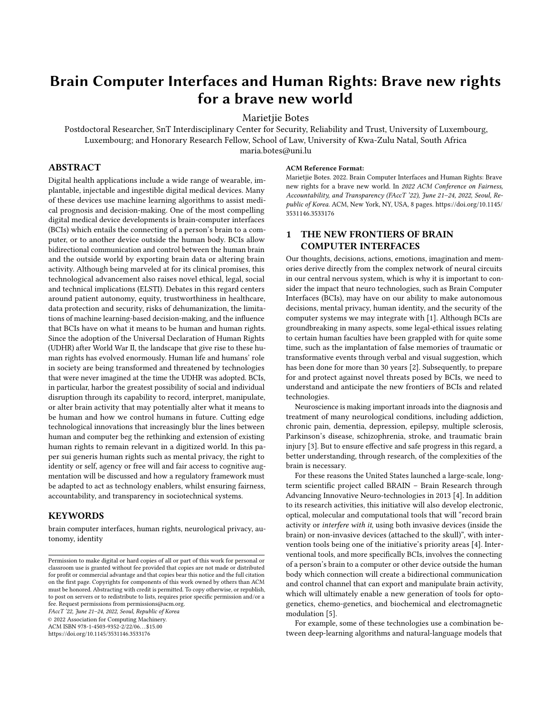# Brain Computer Interfaces and Human Rights: Brave new rights for a brave new world

Marietjie Botes

Postdoctoral Researcher, SnT Interdisciplinary Center for Security, Reliability and Trust, University of Luxembourg, Luxembourg; and Honorary Research Fellow, School of Law, University of Kwa-Zulu Natal, South Africa maria.botes@uni.lu

## ABSTRACT

Digital health applications include a wide range of wearable, implantable, injectable and ingestible digital medical devices. Many of these devices use machine learning algorithms to assist medical prognosis and decision-making. One of the most compelling digital medical device developments is brain-computer interfaces (BCIs) which entails the connecting of a person's brain to a computer, or to another device outside the human body. BCIs allow bidirectional communication and control between the human brain and the outside world by exporting brain data or altering brain activity. Although being marveled at for its clinical promises, this technological advancement also raises novel ethical, legal, social and technical implications (ELSTI). Debates in this regard centers around patient autonomy, equity, trustworthiness in healthcare, data protection and security, risks of dehumanization, the limitations of machine learning-based decision-making, and the influence that BCIs have on what it means to be human and human rights. Since the adoption of the Universal Declaration of Human Rights (UDHR) after World War II, the landscape that give rise to these human rights has evolved enormously. Human life and humans' role in society are being transformed and threatened by technologies that were never imagined at the time the UDHR was adopted. BCIs, in particular, harbor the greatest possibility of social and individual disruption through its capability to record, interpret, manipulate, or alter brain activity that may potentially alter what it means to be human and how we control humans in future. Cutting edge technological innovations that increasingly blur the lines between human and computer beg the rethinking and extension of existing human rights to remain relevant in a digitized world. In this paper sui generis human rights such as mental privacy, the right to identity or self, agency or free will and fair access to cognitive augmentation will be discussed and how a regulatory framework must be adapted to act as technology enablers, whilst ensuring fairness, accountability, and transparency in sociotechnical systems.

## **KEYWORDS**

brain computer interfaces, human rights, neurological privacy, autonomy, identity

FAccT '22, June 21–24, 2022, Seoul, Republic of Korea

© 2022 Association for Computing Machinery.

ACM ISBN 978-1-4503-9352-2/22/06. . . \$15.00

<https://doi.org/10.1145/3531146.3533176>

#### ACM Reference Format:

Marietjie Botes. 2022. Brain Computer Interfaces and Human Rights: Brave new rights for a brave new world. In 2022 ACM Conference on Fairness, Accountability, and Transparency (FAccT '22), June 21–24, 2022, Seoul, Republic of Korea. ACM, New York, NY, USA, [8](#page-7-0) pages. [https://doi.org/10.1145/](https://doi.org/10.1145/3531146.3533176) [3531146.3533176](https://doi.org/10.1145/3531146.3533176)

# 1 THE NEW FRONTIERS OF BRAIN COMPUTER INTERFACES

Our thoughts, decisions, actions, emotions, imagination and memories derive directly from the complex network of neural circuits in our central nervous system, which is why it is important to consider the impact that neuro technologies, such as Brain Computer Interfaces (BCIs), may have on our ability to make autonomous decisions, mental privacy, human identity, and the security of the computer systems we may integrate with [\[1\]](#page-6-0). Although BCIs are groundbreaking in many aspects, some legal-ethical issues relating to certain human faculties have been grappled with for quite some time, such as the implantation of false memories of traumatic or transformative events through verbal and visual suggestion, which has been done for more than 30 years [\[2\]](#page-6-1). Subsequently, to prepare for and protect against novel threats posed by BCIs, we need to understand and anticipate the new frontiers of BCIs and related technologies.

Neuroscience is making important inroads into the diagnosis and treatment of many neurological conditions, including addiction, chronic pain, dementia, depression, epilepsy, multiple sclerosis, Parkinson's disease, schizophrenia, stroke, and traumatic brain injury [\[3\]](#page-6-2). But to ensure effective and safe progress in this regard, a better understanding, through research, of the complexities of the brain is necessary.

For these reasons the United States launched a large-scale, longterm scientific project called BRAIN – Brain Research through Advancing Innovative Neuro-technologies in 2013 [\[4\]](#page-6-3). In addition to its research activities, this initiative will also develop electronic, optical, molecular and computational tools that will "record brain activity or interfere with it, using both invasive devices (inside the brain) or non-invasive devices (attached to the skull)", with intervention tools being one of the initiative's priority areas [\[4\]](#page-6-3). Interventional tools, and more specifically BCIs, involves the connecting of a person's brain to a computer or other device outside the human body which connection will create a bidirectional communication and control channel that can export and manipulate brain activity, which will ultimately enable a new generation of tools for optogenetics, chemo-genetics, and biochemical and electromagnetic modulation [\[5\]](#page-6-4).

For example, some of these technologies use a combination between deep-learning algorithms and natural-language models that

Permission to make digital or hard copies of all or part of this work for personal or classroom use is granted without fee provided that copies are not made or distributed for profit or commercial advantage and that copies bear this notice and the full citation on the first page. Copyrights for components of this work owned by others than ACM must be honored. Abstracting with credit is permitted. To copy otherwise, or republish, to post on servers or to redistribute to lists, requires prior specific permission and/or a fee. Request permissions from permissions@acm.org.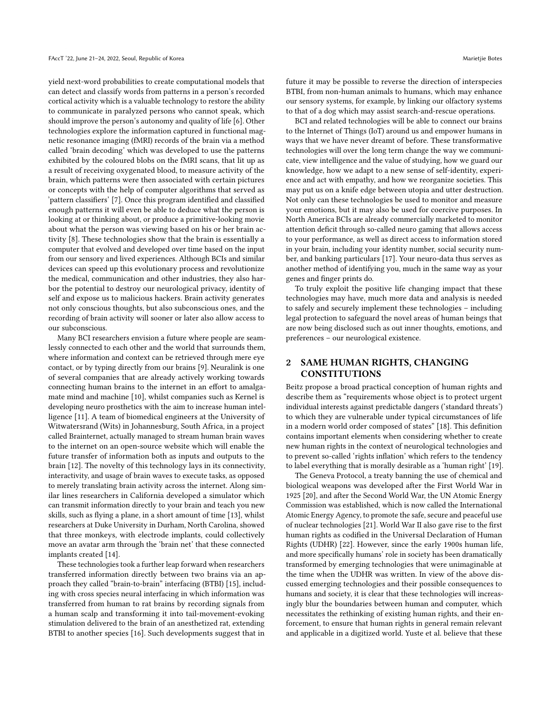yield next-word probabilities to create computational models that can detect and classify words from patterns in a person's recorded cortical activity which is a valuable technology to restore the ability to communicate in paralyzed persons who cannot speak, which should improve the person's autonomy and quality of life [\[6\]](#page-6-5). Other technologies explore the information captured in functional magnetic resonance imaging (fMRI) records of the brain via a method called 'brain decoding' which was developed to use the patterns exhibited by the coloured blobs on the fMRI scans, that lit up as a result of receiving oxygenated blood, to measure activity of the brain, which patterns were then associated with certain pictures or concepts with the help of computer algorithms that served as 'pattern classifiers' [\[7\]](#page-6-6). Once this program identified and classified enough patterns it will even be able to deduce what the person is looking at or thinking about, or produce a primitive-looking movie about what the person was viewing based on his or her brain activity [\[8\]](#page-6-7). These technologies show that the brain is essentially a computer that evolved and developed over time based on the input from our sensory and lived experiences. Although BCIs and similar devices can speed up this evolutionary process and revolutionize the medical, communication and other industries, they also harbor the potential to destroy our neurological privacy, identity of self and expose us to malicious hackers. Brain activity generates not only conscious thoughts, but also subconscious ones, and the recording of brain activity will sooner or later also allow access to our subconscious.

Many BCI researchers envision a future where people are seamlessly connected to each other and the world that surrounds them, where information and context can be retrieved through mere eye contact, or by typing directly from our brains [\[9\]](#page-6-8). Neuralink is one of several companies that are already actively working towards connecting human brains to the internet in an effort to amalgamate mind and machine [\[10\]](#page-6-9), whilst companies such as Kernel is developing neuro prosthetics with the aim to increase human intelligence [\[11\]](#page-6-10). A team of biomedical engineers at the University of Witwatersrand (Wits) in Johannesburg, South Africa, in a project called Brainternet, actually managed to stream human brain waves to the internet on an open-source website which will enable the future transfer of information both as inputs and outputs to the brain [\[12\]](#page-6-11). The novelty of this technology lays in its connectivity, interactivity, and usage of brain waves to execute tasks, as opposed to merely translating brain activity across the internet. Along similar lines researchers in California developed a simulator which can transmit information directly to your brain and teach you new skills, such as flying a plane, in a short amount of time [\[13\]](#page-6-12), whilst researchers at Duke University in Durham, North Carolina, showed that three monkeys, with electrode implants, could collectively move an avatar arm through the 'brain net' that these connected implants created [\[14\]](#page-6-13).

These technologies took a further leap forward when researchers transferred information directly between two brains via an approach they called "brain-to-brain" interfacing (BTBI) [\[15\]](#page-6-14), including with cross species neural interfacing in which information was transferred from human to rat brains by recording signals from a human scalp and transforming it into tail-movement-evoking stimulation delivered to the brain of an anesthetized rat, extending BTBI to another species [\[16\]](#page-6-15). Such developments suggest that in

future it may be possible to reverse the direction of interspecies BTBI, from non-human animals to humans, which may enhance our sensory systems, for example, by linking our olfactory systems to that of a dog which may assist search-and-rescue operations.

BCI and related technologies will be able to connect our brains to the Internet of Things (IoT) around us and empower humans in ways that we have never dreamt of before. These transformative technologies will over the long term change the way we communicate, view intelligence and the value of studying, how we guard our knowledge, how we adapt to a new sense of self-identity, experience and act with empathy, and how we reorganize societies. This may put us on a knife edge between utopia and utter destruction. Not only can these technologies be used to monitor and measure your emotions, but it may also be used for coercive purposes. In North America BCIs are already commercially marketed to monitor attention deficit through so-called neuro gaming that allows access to your performance, as well as direct access to information stored in your brain, including your identity number, social security number, and banking particulars [\[17\]](#page-6-16). Your neuro-data thus serves as another method of identifying you, much in the same way as your genes and finger prints do.

To truly exploit the positive life changing impact that these technologies may have, much more data and analysis is needed to safely and securely implement these technologies – including legal protection to safeguard the novel areas of human beings that are now being disclosed such as out inner thoughts, emotions, and preferences – our neurological existence.

## 2 SAME HUMAN RIGHTS, CHANGING CONSTITUTIONS

Beitz propose a broad practical conception of human rights and describe them as "requirements whose object is to protect urgent individual interests against predictable dangers ('standard threats') to which they are vulnerable under typical circumstances of life in a modern world order composed of states" [\[18\]](#page-6-17). This definition contains important elements when considering whether to create new human rights in the context of neurological technologies and to prevent so-called 'rights inflation' which refers to the tendency to label everything that is morally desirable as a 'human right' [\[19\]](#page-6-18).

The Geneva Protocol, a treaty banning the use of chemical and biological weapons was developed after the First World War in 1925 [\[20\]](#page-6-19), and after the Second World War, the UN Atomic Energy Commission was established, which is now called the International Atomic Energy Agency, to promote the safe, secure and peaceful use of nuclear technologies [\[21\]](#page-6-20). World War II also gave rise to the first human rights as codified in the Universal Declaration of Human Rights (UDHR) [\[22\]](#page-6-21). However, since the early 1900s human life, and more specifically humans' role in society has been dramatically transformed by emerging technologies that were unimaginable at the time when the UDHR was written. In view of the above discussed emerging technologies and their possible consequences to humans and society, it is clear that these technologies will increasingly blur the boundaries between human and computer, which necessitates the rethinking of existing human rights, and their enforcement, to ensure that human rights in general remain relevant and applicable in a digitized world. Yuste et al. believe that these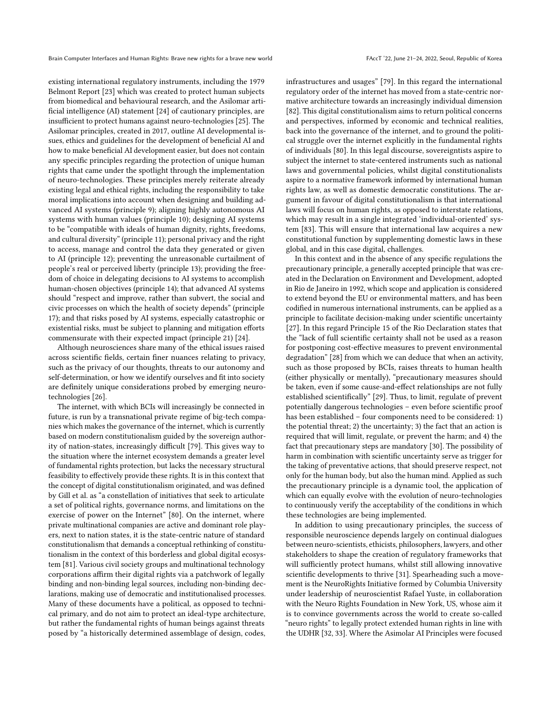existing international regulatory instruments, including the 1979 Belmont Report [\[23\]](#page-6-22) which was created to protect human subjects from biomedical and behavioural research, and the Asilomar artificial intelligence (AI) statement [\[24\]](#page-6-23) of cautionary principles, are insufficient to protect humans against neuro-technologies [\[25\]](#page-6-24). The Asilomar principles, created in 2017, outline AI developmental issues, ethics and guidelines for the development of beneficial AI and how to make beneficial AI development easier, but does not contain any specific principles regarding the protection of unique human rights that came under the spotlight through the implementation of neuro-technologies. These principles merely reiterate already existing legal and ethical rights, including the responsibility to take moral implications into account when designing and building advanced AI systems (principle 9); aligning highly autonomous AI systems with human values (principle 10); designing AI systems to be "compatible with ideals of human dignity, rights, freedoms, and cultural diversity" (principle 11); personal privacy and the right to access, manage and control the data they generated or given to AI (principle 12); preventing the unreasonable curtailment of people's real or perceived liberty (principle 13); providing the freedom of choice in delegating decisions to AI systems to accomplish human-chosen objectives (principle 14); that advanced AI systems should "respect and improve, rather than subvert, the social and civic processes on which the health of society depends" (principle 17); and that risks posed by AI systems, especially catastrophic or existential risks, must be subject to planning and mitigation efforts commensurate with their expected impact (principle 21) [\[24\]](#page-6-23).

Although neurosciences share many of the ethical issues raised across scientific fields, certain finer nuances relating to privacy, such as the privacy of our thoughts, threats to our autonomy and self-determination, or how we identify ourselves and fit into society are definitely unique considerations probed by emerging neurotechnologies [\[26\]](#page-6-25).

The internet, with which BCIs will increasingly be connected in future, is run by a transnational private regime of big-tech companies which makes the governance of the internet, which is currently based on modern constitutionalism guided by the sovereign authority of nation-states, increasingly difficult [\[79\]](#page-7-1). This gives way to the situation where the internet ecosystem demands a greater level of fundamental rights protection, but lacks the necessary structural feasibility to effectively provide these rights. It is in this context that the concept of digital constitutionalism originated, and was defined by Gill et al. as "a constellation of initiatives that seek to articulate a set of political rights, governance norms, and limitations on the exercise of power on the Internet" [\[80\]](#page-7-2). On the internet, where private multinational companies are active and dominant role players, next to nation states, it is the state-centric nature of standard constitutionalism that demands a conceptual rethinking of constitutionalism in the context of this borderless and global digital ecosystem [\[81\]](#page-7-3). Various civil society groups and multinational technology corporations affirm their digital rights via a patchwork of legally binding and non-binding legal sources, including non-binding declarations, making use of democratic and institutionalised processes. Many of these documents have a political, as opposed to technical primary, and do not aim to protect an ideal-type architecture, but rather the fundamental rights of human beings against threats posed by "a historically determined assemblage of design, codes,

infrastructures and usages" [\[79\]](#page-7-1). In this regard the international regulatory order of the internet has moved from a state-centric normative architecture towards an increasingly individual dimension [\[82\]](#page-7-4). This digital constitutionalism aims to return political concerns and perspectives, informed by economic and technical realities, back into the governance of the internet, and to ground the political struggle over the internet explicitly in the fundamental rights of individuals [\[80\]](#page-7-2). In this legal discourse, sovereigntists aspire to subject the internet to state-centered instruments such as national laws and governmental policies, whilst digital constitutionalists aspire to a normative framework informed by international human rights law, as well as domestic democratic constitutions. The argument in favour of digital constitutionalism is that international laws will focus on human rights, as opposed to interstate relations, which may result in a single integrated 'individual-oriented' system [\[83\]](#page-7-5). This will ensure that international law acquires a new constitutional function by supplementing domestic laws in these global, and in this case digital, challenges.

In this context and in the absence of any specific regulations the precautionary principle, a generally accepted principle that was created in the Declaration on Environment and Development, adopted in Rio de Janeiro in 1992, which scope and application is considered to extend beyond the EU or environmental matters, and has been codified in numerous international instruments, can be applied as a principle to facilitate decision-making under scientific uncertainty [\[27\]](#page-6-26). In this regard Principle 15 of the Rio Declaration states that the "lack of full scientific certainty shall not be used as a reason for postponing cost-effective measures to prevent environmental degradation" [\[28\]](#page-6-27) from which we can deduce that when an activity, such as those proposed by BCIs, raises threats to human health (either physically or mentally), "precautionary measures should be taken, even if some cause-and-effect relationships are not fully established scientifically" [\[29\]](#page-6-28). Thus, to limit, regulate of prevent potentially dangerous technologies – even before scientific proof has been established – four components need to be considered: 1) the potential threat; 2) the uncertainty; 3) the fact that an action is required that will limit, regulate, or prevent the harm; and 4) the fact that precautionary steps are mandatory [\[30\]](#page-6-29). The possibility of harm in combination with scientific uncertainty serve as trigger for the taking of preventative actions, that should preserve respect, not only for the human body, but also the human mind. Applied as such the precautionary principle is a dynamic tool, the application of which can equally evolve with the evolution of neuro-technologies to continuously verify the acceptability of the conditions in which these technologies are being implemented.

In addition to using precautionary principles, the success of responsible neuroscience depends largely on continual dialogues between neuro-scientists, ethicists, philosophers, lawyers, and other stakeholders to shape the creation of regulatory frameworks that will sufficiently protect humans, whilst still allowing innovative scientific developments to thrive [\[31\]](#page-6-30). Spearheading such a movement is the NeuroRights Initiative formed by Columbia University under leadership of neuroscientist Rafael Yuste, in collaboration with the Neuro Rights Foundation in New York, US, whose aim it is to convince governments across the world to create so-called "neuro rights" to legally protect extended human rights in line with the UDHR [\[32,](#page-6-31) [33\]](#page-6-32). Where the Asimolar AI Principles were focused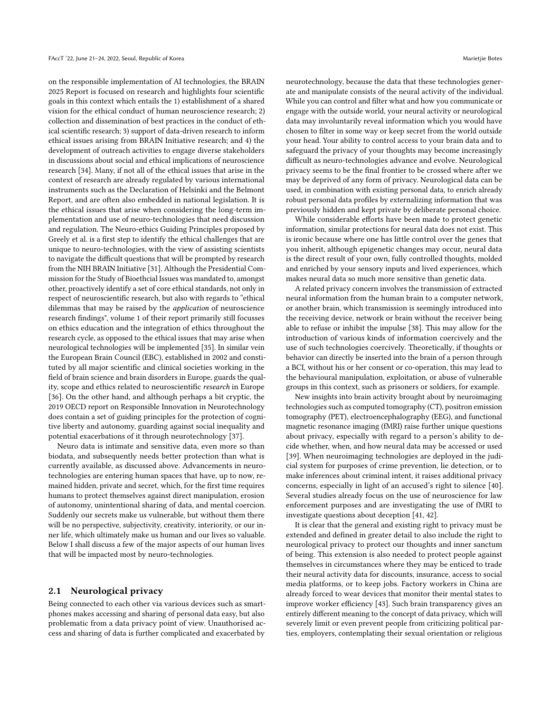on the responsible implementation of AI technologies, the BRAIN 2025 Report is focused on research and highlights four scientific goals in this context which entails the 1) establishment of a shared vision for the ethical conduct of human neuroscience research; 2) collection and dissemination of best practices in the conduct of ethical scientific research; 3) support of data-driven research to inform ethical issues arising from BRAIN Initiative research; and 4) the development of outreach activities to engage diverse stakeholders in discussions about social and ethical implications of neuroscience research [\[34\]](#page-6-33). Many, if not all of the ethical issues that arise in the context of research are already regulated by various international instruments such as the Declaration of Helsinki and the Belmont Report, and are often also embedded in national legislation. It is the ethical issues that arise when considering the long-term implementation and use of neuro-technologies that need discussion and regulation. The Neuro-ethics Guiding Principles proposed by Greely et al. is a first step to identify the ethical challenges that are unique to neuro-technologies, with the view of assisting scientists to navigate the difficult questions that will be prompted by research from the NIH BRAIN Initiative [\[31\]](#page-6-30). Although the Presidential Commission for the Study of Bioethcial Issues was mandated to, amongst other, proactively identify a set of core ethical standards, not only in respect of neuroscientific research, but also with regards to "ethical dilemmas that may be raised by the application of neuroscience research findings", volume 1 of their report primarily still focusses on ethics education and the integration of ethics throughout the research cycle, as opposed to the ethical issues that may arise when neurological technologies will be implemented [\[35\]](#page-6-34). In similar vein the European Brain Council (EBC), established in 2002 and constituted by all major scientific and clinical societies working in the field of brain science and brain disorders in Europe, guards the quality, scope and ethics related to neuroscientific research in Europe [\[36\]](#page-6-35). On the other hand, and although perhaps a bit cryptic, the 2019 OECD report on Responsible Innovation in Neurotechnology does contain a set of guiding principles for the protection of cognitive liberty and autonomy, guarding against social inequality and potential exacerbations of it through neurotechnology [\[37\]](#page-6-36).

Neuro data is intimate and sensitive data, even more so than biodata, and subsequently needs better protection than what is currently available, as discussed above. Advancements in neurotechnologies are entering human spaces that have, up to now, remained hidden, private and secret, which, for the first time requires humans to protect themselves against direct manipulation, erosion of autonomy, unintentional sharing of data, and mental coercion. Suddenly our secrets make us vulnerable, but without them there will be no perspective, subjectivity, creativity, interiority, or our inner life, which ultimately make us human and our lives so valuable. Below I shall discuss a few of the major aspects of our human lives that will be impacted most by neuro-technologies.

#### 2.1 Neurological privacy

Being connected to each other via various devices such as smartphones makes accessing and sharing of personal data easy, but also problematic from a data privacy point of view. Unauthorised access and sharing of data is further complicated and exacerbated by

neurotechnology, because the data that these technologies generate and manipulate consists of the neural activity of the individual. While you can control and filter what and how you communicate or engage with the outside world, your neural activity or neurological data may involuntarily reveal information which you would have chosen to filter in some way or keep secret from the world outside your head. Your ability to control access to your brain data and to safeguard the privacy of your thoughts may become increasingly difficult as neuro-technologies advance and evolve. Neurological privacy seems to be the final frontier to be crossed where after we may be deprived of any form of privacy. Neurological data can be used, in combination with existing personal data, to enrich already robust personal data profiles by externalizing information that was previously hidden and kept private by deliberate personal choice.

While considerable efforts have been made to protect genetic information, similar protections for neural data does not exist. This is ironic because where one has little control over the genes that you inherit, although epigenetic changes may occur, neural data is the direct result of your own, fully controlled thoughts, molded and enriched by your sensory inputs and lived experiences, which makes neural data so much more sensitive than genetic data.

A related privacy concern involves the transmission of extracted neural information from the human brain to a computer network, or another brain, which transmission is seemingly introduced into the receiving device, network or brain without the receiver being able to refuse or inhibit the impulse [\[38\]](#page-7-6). This may allow for the introduction of various kinds of information coercively and the use of such technologies coercively. Theoretically, if thoughts or behavior can directly be inserted into the brain of a person through a BCI, without his or her consent or co-operation, this may lead to the behavioural manipulation, exploitation, or abuse of vulnerable groups in this context, such as prisoners or soldiers, for example.

New insights into brain activity brought about by neuroimaging technologies such as computed tomography (CT), positron emission tomography (PET), electroencephalography (EEG), and functional magnetic resonance imaging (fMRI) raise further unique questions about privacy, especially with regard to a person's ability to decide whether, when, and how neural data may be accessed or used [\[39\]](#page-7-7). When neuroimaging technologies are deployed in the judicial system for purposes of crime prevention, lie detection, or to make inferences about criminal intent, it raises additional privacy concerns, especially in light of an accused's right to silence [\[40\]](#page-7-8). Several studies already focus on the use of neuroscience for law enforcement purposes and are investigating the use of fMRI to investigate questions about deception [\[41,](#page-7-9) [42\]](#page-7-10).

It is clear that the general and existing right to privacy must be extended and defined in greater detail to also include the right to neurological privacy to protect our thoughts and inner sanctum of being. This extension is also needed to protect people against themselves in circumstances where they may be enticed to trade their neural activity data for discounts, insurance, access to social media platforms, or to keep jobs. Factory workers in China are already forced to wear devices that monitor their mental states to improve worker efficiency [\[43\]](#page-7-11). Such brain transparency gives an entirely different meaning to the concept of data privacy, which will severely limit or even prevent people from criticizing political parties, employers, contemplating their sexual orientation or religious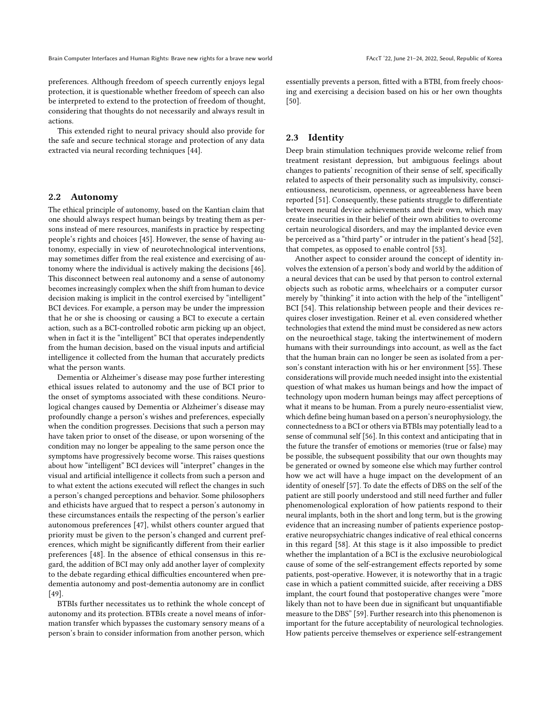preferences. Although freedom of speech currently enjoys legal protection, it is questionable whether freedom of speech can also be interpreted to extend to the protection of freedom of thought, considering that thoughts do not necessarily and always result in actions.

This extended right to neural privacy should also provide for the safe and secure technical storage and protection of any data extracted via neural recording techniques [\[44\]](#page-7-12).

#### 2.2 Autonomy

The ethical principle of autonomy, based on the Kantian claim that one should always respect human beings by treating them as persons instead of mere resources, manifests in practice by respecting people's rights and choices [\[45\]](#page-7-13). However, the sense of having autonomy, especially in view of neurotechnological interventions, may sometimes differ from the real existence and exercising of autonomy where the individual is actively making the decisions [\[46\]](#page-7-14). This disconnect between real autonomy and a sense of autonomy becomes increasingly complex when the shift from human to device decision making is implicit in the control exercised by "intelligent" BCI devices. For example, a person may be under the impression that he or she is choosing or causing a BCI to execute a certain action, such as a BCI-controlled robotic arm picking up an object, when in fact it is the "intelligent" BCI that operates independently from the human decision, based on the visual inputs and artificial intelligence it collected from the human that accurately predicts what the person wants.

Dementia or Alzheimer's disease may pose further interesting ethical issues related to autonomy and the use of BCI prior to the onset of symptoms associated with these conditions. Neurological changes caused by Dementia or Alzheimer's disease may profoundly change a person's wishes and preferences, especially when the condition progresses. Decisions that such a person may have taken prior to onset of the disease, or upon worsening of the condition may no longer be appealing to the same person once the symptoms have progressively become worse. This raises questions about how "intelligent" BCI devices will "interpret" changes in the visual and artificial intelligence it collects from such a person and to what extent the actions executed will reflect the changes in such a person's changed perceptions and behavior. Some philosophers and ethicists have argued that to respect a person's autonomy in these circumstances entails the respecting of the person's earlier autonomous preferences [\[47\]](#page-7-15), whilst others counter argued that priority must be given to the person's changed and current preferences, which might be significantly different from their earlier preferences [\[48\]](#page-7-16). In the absence of ethical consensus in this regard, the addition of BCI may only add another layer of complexity to the debate regarding ethical difficulties encountered when predementia autonomy and post-dementia autonomy are in conflict [\[49\]](#page-7-17).

BTBIs further necessitates us to rethink the whole concept of autonomy and its protection. BTBIs create a novel means of information transfer which bypasses the customary sensory means of a person's brain to consider information from another person, which

essentially prevents a person, fitted with a BTBI, from freely choosing and exercising a decision based on his or her own thoughts [\[50\]](#page-7-18).

#### 2.3 Identity

Deep brain stimulation techniques provide welcome relief from treatment resistant depression, but ambiguous feelings about changes to patients' recognition of their sense of self, specifically related to aspects of their personality such as impulsivity, conscientiousness, neuroticism, openness, or agreeableness have been reported [\[51\]](#page-7-19). Consequently, these patients struggle to differentiate between neural device achievements and their own, which may create insecurities in their belief of their own abilities to overcome certain neurological disorders, and may the implanted device even be perceived as a "third party" or intruder in the patient's head [\[52\]](#page-7-20), that competes, as opposed to enable control [\[53\]](#page-7-21).

Another aspect to consider around the concept of identity involves the extension of a person's body and world by the addition of a neural devices that can be used by that person to control external objects such as robotic arms, wheelchairs or a computer cursor merely by "thinking" it into action with the help of the "intelligent" BCI [\[54\]](#page-7-22). This relationship between people and their devices requires closer investigation. Reiner et al. even considered whether technologies that extend the mind must be considered as new actors on the neuroethical stage, taking the intertwinement of modern humans with their surroundings into account, as well as the fact that the human brain can no longer be seen as isolated from a person's constant interaction with his or her environment [\[55\]](#page-7-23). These considerations will provide much needed insight into the existential question of what makes us human beings and how the impact of technology upon modern human beings may affect perceptions of what it means to be human. From a purely neuro-essentialist view, which define being human based on a person's neurophysiology, the connectedness to a BCI or others via BTBIs may potentially lead to a sense of communal self [\[56\]](#page-7-24). In this context and anticipating that in the future the transfer of emotions or memories (true or false) may be possible, the subsequent possibility that our own thoughts may be generated or owned by someone else which may further control how we act will have a huge impact on the development of an identity of oneself [\[57\]](#page-7-25). To date the effects of DBS on the self of the patient are still poorly understood and still need further and fuller phenomenological exploration of how patients respond to their neural implants, both in the short and long term, but is the growing evidence that an increasing number of patients experience postoperative neuropsychiatric changes indicative of real ethical concerns in this regard [\[58\]](#page-7-26). At this stage is it also impossible to predict whether the implantation of a BCI is the exclusive neurobiological cause of some of the self-estrangement effects reported by some patients, post-operative. However, it is noteworthy that in a tragic case in which a patient committed suicide, after receiving a DBS implant, the court found that postoperative changes were "more likely than not to have been due in significant but unquantifiable measure to the DBS" [\[59\]](#page-7-27). Further research into this phenomenon is important for the future acceptability of neurological technologies. How patients perceive themselves or experience self-estrangement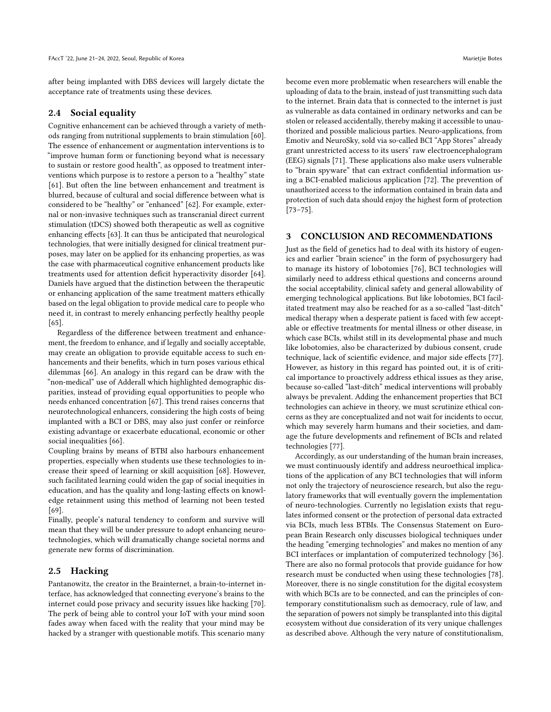after being implanted with DBS devices will largely dictate the acceptance rate of treatments using these devices.

#### 2.4 Social equality

Cognitive enhancement can be achieved through a variety of methods ranging from nutritional supplements to brain stimulation [\[60\]](#page-7-28). The essence of enhancement or augmentation interventions is to "improve human form or functioning beyond what is necessary to sustain or restore good health", as opposed to treatment interventions which purpose is to restore a person to a "healthy" state [\[61\]](#page-7-29). But often the line between enhancement and treatment is blurred, because of cultural and social difference between what is considered to be "healthy" or "enhanced" [\[62\]](#page-7-30). For example, external or non-invasive techniques such as transcranial direct current stimulation (tDCS) showed both therapeutic as well as cognitive enhancing effects [\[63\]](#page-7-31). It can thus be anticipated that neurological technologies, that were initially designed for clinical treatment purposes, may later on be applied for its enhancing properties, as was the case with pharmaceutical cognitive enhancement products like treatments used for attention deficit hyperactivity disorder [\[64\]](#page-7-32). Daniels have argued that the distinction between the therapeutic or enhancing application of the same treatment matters ethically based on the legal obligation to provide medical care to people who need it, in contrast to merely enhancing perfectly healthy people [\[65\]](#page-7-33).

Regardless of the difference between treatment and enhancement, the freedom to enhance, and if legally and socially acceptable, may create an obligation to provide equitable access to such enhancements and their benefits, which in turn poses various ethical dilemmas [\[66\]](#page-7-34). An analogy in this regard can be draw with the "non-medical" use of Adderall which highlighted demographic disparities, instead of providing equal opportunities to people who needs enhanced concentration [\[67\]](#page-7-35). This trend raises concerns that neurotechnological enhancers, considering the high costs of being implanted with a BCI or DBS, may also just confer or reinforce existing advantage or exacerbate educational, economic or other social inequalities [\[66\]](#page-7-34).

Coupling brains by means of BTBI also harbours enhancement properties, especially when students use these technologies to increase their speed of learning or skill acquisition [\[68\]](#page-7-36). However, such facilitated learning could widen the gap of social inequities in education, and has the quality and long-lasting effects on knowledge retainment using this method of learning not been tested [\[69\]](#page-7-37).

Finally, people's natural tendency to conform and survive will mean that they will be under pressure to adopt enhancing neurotechnologies, which will dramatically change societal norms and generate new forms of discrimination.

#### 2.5 Hacking

Pantanowitz, the creator in the Brainternet, a brain-to-internet interface, has acknowledged that connecting everyone's brains to the internet could pose privacy and security issues like hacking [\[70\]](#page-7-38). The perk of being able to control your IoT with your mind soon fades away when faced with the reality that your mind may be hacked by a stranger with questionable motifs. This scenario many

become even more problematic when researchers will enable the uploading of data to the brain, instead of just transmitting such data to the internet. Brain data that is connected to the internet is just as vulnerable as data contained in ordinary networks and can be stolen or released accidentally, thereby making it accessible to unauthorized and possible malicious parties. Neuro-applications, from Emotiv and NeuroSky, sold via so-called BCI "App Stores" already grant unrestricted access to its users' raw electroencephalogram (EEG) signals [\[71\]](#page-7-39). These applications also make users vulnerable to "brain spyware" that can extract confidential information using a BCI-enabled malicious application [\[72\]](#page-7-40). The prevention of unauthorized access to the information contained in brain data and protection of such data should enjoy the highest form of protection [\[73](#page-7-41)[–75\]](#page-7-42).

## 3 CONCLUSION AND RECOMMENDATIONS

Just as the field of genetics had to deal with its history of eugenics and earlier "brain science" in the form of psychosurgery had to manage its history of lobotomies [\[76\]](#page-7-43), BCI technologies will similarly need to address ethical questions and concerns around the social acceptability, clinical safety and general allowability of emerging technological applications. But like lobotomies, BCI facilitated treatment may also be reached for as a so-called "last-ditch" medical therapy when a desperate patient is faced with few acceptable or effective treatments for mental illness or other disease, in which case BCIs, whilst still in its developmental phase and much like lobotomies, also be characterized by dubious consent, crude technique, lack of scientific evidence, and major side effects [\[77\]](#page-7-44). However, as history in this regard has pointed out, it is of critical importance to proactively address ethical issues as they arise, because so-called "last-ditch" medical interventions will probably always be prevalent. Adding the enhancement properties that BCI technologies can achieve in theory, we must scrutinize ethical concerns as they are conceptualized and not wait for incidents to occur, which may severely harm humans and their societies, and damage the future developments and refinement of BCIs and related technologies [\[77\]](#page-7-44).

Accordingly, as our understanding of the human brain increases, we must continuously identify and address neuroethical implications of the application of any BCI technologies that will inform not only the trajectory of neuroscience research, but also the regulatory frameworks that will eventually govern the implementation of neuro-technologies. Currently no legislation exists that regulates informed consent or the protection of personal data extracted via BCIs, much less BTBIs. The Consensus Statement on European Brain Research only discusses biological techniques under the heading "emerging technologies" and makes no mention of any BCI interfaces or implantation of computerized technology [\[36\]](#page-6-35). There are also no formal protocols that provide guidance for how research must be conducted when using these technologies [\[78\]](#page-7-45). Moreover, there is no single constitution for the digital ecosystem with which BCIs are to be connected, and can the principles of contemporary constitutionalism such as democracy, rule of law, and the separation of powers not simply be transplanted into this digital ecosystem without due consideration of its very unique challenges as described above. Although the very nature of constitutionalism,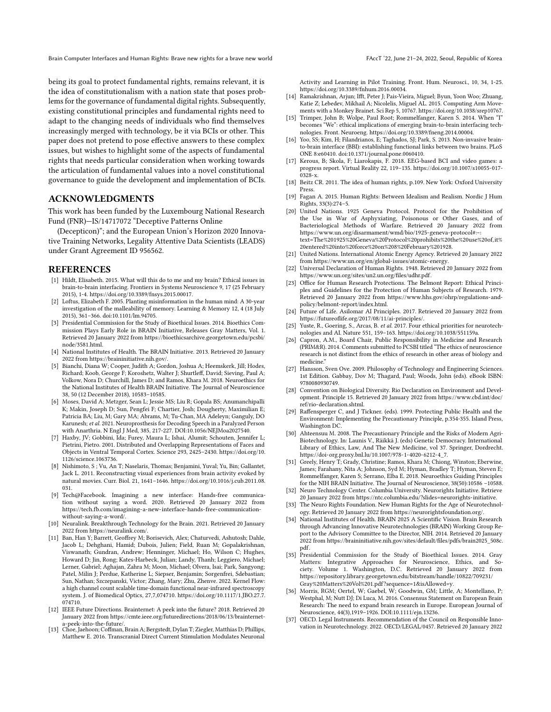Brain Computer Interfaces and Human Rights: Brave new rights for a brave new world FACCT '22, June 21-24, 2022, Seoul, Republic of Korea

being its goal to protect fundamental rights, remains relevant, it is the idea of constitutionalism with a nation state that poses problems for the governance of fundamental digital rights. Subsequently, existing constitutional principles and fundamental rights need to adapt to the changing needs of individuals who find themselves increasingly merged with technology, be it via BCIs or other. This paper does not pretend to pose effective answers to these complex issues, but wishes to highlight some of the aspects of fundamental rights that needs particular consideration when working towards the articulation of fundamental values into a novel constitutional governance to guide the development and implementation of BCIs.

## ACKNOWLEDGMENTS

This work has been funded by the Luxembourg National Research Fund (FNR)—IS/14717072 "Deceptive Patterns Online

(Decepticon)"; and the European Union's Horizon 2020 Innovative Training Networks, Legality Attentive Data Scientists (LEADS) under Grant Agreement ID 956562.

#### REFERENCES

- <span id="page-6-0"></span>[1] Hildt, Elisabeth. 2015. What will this do to me and my brain? Ethical issues in brain-to-brain interfacing. Frontiers in Systems Neuroscience 9, 17 (25 February 2015), 1-4. [https://doi.org/10.3389/fnsys.2015.00017.](https://doi.org/10.3389/fnsys.2015.00017)
- <span id="page-6-1"></span>[2] Loftus, Elizabeth F. 2005. Planting misinformation in the human mind: A 30-year investigation of the malleability of memory. Learning & Memory 12, 4 (18 July 2015), 361–366. doi:10.1101/lm.94705.
- <span id="page-6-2"></span>[3] Presidential Commission for the Study of Bioethical Issues. 2014. Bioethics Commission Plays Early Role in BRAIN Initiative, Releases Gray Matters, Vol. 1. Retrieved 20 January 2022 from [https://bioethicsarchive.georgetown.edu/pcsbi/](https://bioethicsarchive.georgetown.edu/pcsbi/node/3581.html) [node/3581.html.](https://bioethicsarchive.georgetown.edu/pcsbi/node/3581.html)
- <span id="page-6-3"></span>[4] National Institutes of Health. The BRAIN Initiative. 2013. Retrieved 20 January 2022 from [https://braininitiative.nih.gov/.](https://braininitiative.nih.gov/)
- <span id="page-6-4"></span>[5] Bianchi, Diana W; Cooper, Judith A; Gordon, Joshua A; Heemskerk, Jill; Hodes, Richard; Koob, George F; Koroshetz, Walter J; Shurtleff, David; Sieving, Paul A; Volkow, Nora D; Churchill, James D; and Ramos, Khara M. 2018. Neuroethics for the National Institutes of Health BRAIN Initiative. The Journal of Neuroscience 38, 50 (12 December 2018), 10583–10585.
- <span id="page-6-5"></span>[6] Moses, David A; Metzger, Sean L; Jessie MS; Liu R; Gopala BS; Anumanchipalli K; Makin, Joseph D; Sun, Pengfei F; Chartier, Josh; Dougherty, Maximilian E; Patricia BA; Liu, M; Gary MA; Abrams, M; Tu-Chan, MA Adeleyn; Ganguly, DO Karunesh; et al. 2021. Neuroprosthesis for Decoding Speech in a Paralyzed Person with Anarthria. N Engl J Med, 385, 217-227. DOI:10.1056/NEJMoa2027540.
- <span id="page-6-6"></span>[7] Haxby, JV; Gobbini, Ida; Furey, Maura L; Ishai, Alumit; Schouten, Jennifer L; Pietrini, Pietro. 2001. Distributed and Overlapping Representations of Faces and Objects in Ventral Temporal Cortex. Science 293, 2425–2430. [https://doi.org/10.](https://doi.org/10.1126/science.1063736) [1126/science.1063736.](https://doi.org/10.1126/science.1063736)
- <span id="page-6-7"></span>[8] Nishimoto, S ; Vu, An T; Naselaris, Thomas; Benjamini, Yuval; Yu, Bin; Gallantet, Jack L. 2011. Reconstructing visual experiences from brain activity evoked by natural movies. Curr. Biol. 21, 1641–1646. [https://doi.org/10.1016/j.cub.2011.08.](https://doi.org/10.1016/j.cub.2011.08.031) [031.](https://doi.org/10.1016/j.cub.2011.08.031)
- <span id="page-6-8"></span>[9] Tech@Facebook. Imagining a new interface: Hands-free communication without saying a word. 2020. Retrieved 20 January 2022 from [https://tech.fb.com/imagining-a-new-interface-hands-free-communication](https://tech.fb.com/imagining-a-new-interface-hands-free-communication-without-saying-a-word/)[without-saying-a-word/.](https://tech.fb.com/imagining-a-new-interface-hands-free-communication-without-saying-a-word/)
- <span id="page-6-9"></span>[10] Neuralink. Breakthrough Technology for the Brain. 2021. Retrieved 20 January 2022 from [https://neuralink.com/.](https://neuralink.com/)
- <span id="page-6-10"></span>[11] Ban, Han Y; Barrett, Geoffrey M; Borisevich, Alex; Chaturvedi, Ashutosh; Dahle, Jacob L; Dehghani, Hamid; Dubois, Julien; Field, Ruan M; Gopalakrishnan, Viswanath; Gundran, Andrew; Henninger, Michael; Ho, Wilson C; Hughes, Howard D; Jin, Rong; Kates-Harbeck, Julian; Landy, Thanh; Leggiero, Michael; Lerner, Gabriel; Aghajan, Zahra M; Moon, Michael; Olvera, Isai; Park, Sangyong; Patel, Milin J; Perdue, Katherine L; Siepser, Benjamin; Sorgenfrei, Sdebastian; Sun, Nathan; Szczepanski, Victor; Zhang, Mary; Zhu, Zhenve. 2022. Kernel Flow: a high channel count scalable time-domain functional near-infrared spectroscopy system. J. of Biomedical Optics, 27,7,074710. [https://doi.org/10.1117/1.JBO.27.7.](https://doi.org/10.1117/1.JBO.27.7.074710) [074710.](https://doi.org/10.1117/1.JBO.27.7.074710)
- <span id="page-6-11"></span>[12] IEEE Future Directions. Brainternet: A peek into the future? 2018. Retrieved 20 January 2022 from [https://cmte.ieee.org/futuredirections/2018/06/13/brainternet-](https://cmte.ieee.org/futuredirections/2018/06/13/brainternet-a-peek-into-the-future/)
- <span id="page-6-12"></span>[a-peek-into-the-future/.](https://cmte.ieee.org/futuredirections/2018/06/13/brainternet-a-peek-into-the-future/) [13] Choe, Jaehoon; Coffman, Brain A; Bergstedt, Dylan T; Ziegler, Matthias D; Phillips, Matthew E. 2016. Transcranial Direct Current Stimulation Modulates Neuronal

Activity and Learning in Pilot Training. Front. Hum. Neurosci., 10, 34, 1-25. [https://doi.org/10.3389/fnhum.2016.00034.](https://doi.org/10.3389/fnhum.2016.00034)

- <span id="page-6-13"></span>[14] Ramakrishnan, Arjun; Ifft, Peter J; Pais-Vieira, Miguel; Byun, Yoon Woo; Zhuang, Katie Z; Lebedev, Mikhail A; Nicolelis, Miguel AL. 2015. Computing Arm Movements with a Monkey Brainet. Sci Rep 5, 10767. [https://doi.org/10.1038/srep10767.](https://doi.org/10.1038/srep10767)
- <span id="page-6-14"></span>[15] Trimper, John B; Wolpe, Paul Root; Rommelfanger, Karen S. 2014. When "I" becomes "We": ethical implications of emerging brain-to-brain interfacing technologies. Front. Neuroeng. [https://doi.org/10.3389/fneng.2014.00004.](https://doi.org/10.3389/fneng.2014.00004)
- <span id="page-6-15"></span>[16] Yoo, SS; Kim, H; Filandrianos, E; Taghados, SJ; Park, S. 2013. Non-invasive brainto-brain interface (BBI): establishing functional links between two brains. PLoS ONE 8:e60410. doi:10.1371/journal.pone.0060410.
- <span id="page-6-16"></span>[17] Kerous, B; Skola, F; Liarokapis, F. 2018. EEG-based BCI and video games: a progress report. Virtual Reality 22, 119–135. [https://doi.org/10.1007/s10055-017-](https://doi.org/10.1007/s10055-017-0328-x) [0328-x.](https://doi.org/10.1007/s10055-017-0328-x)
- <span id="page-6-17"></span>[18] Beitz CR. 2011. The idea of human rights, p.109. New York: Oxford University Press.
- <span id="page-6-18"></span>[19] Fagan A. 2015. Human Rights: Between Idealism and Realism. Nordic J Hum Rights, 33(3):274–5.
- <span id="page-6-19"></span>[20] United Nations. 1925 Geneva Protocol. Protocol for the Prohibition of the Use in War of Asphyxiating, Poisonous or Other Gases, and of Bacteriological Methods of Warfare. Retrieved 20 January 2022 from [https://www.un.org/disarmament/wmd/bio/1925-geneva-protocol#:~:](https://www.un.org/disarmament/wmd/bio/1925-geneva-protocol#:~:text=The%201925%20Geneva%20Protocol%20prohibits%20the%20use%20of,it%20entered%20into%20force%20on%208%20February%201928) [text=The%201925%20Geneva%20Protocol%20prohibits%20the%20use%20of,it%](https://www.un.org/disarmament/wmd/bio/1925-geneva-protocol#:~:text=The%201925%20Geneva%20Protocol%20prohibits%20the%20use%20of,it%20entered%20into%20force%20on%208%20February%201928) [20entered%20into%20force%20on%208%20February%201928.](https://www.un.org/disarmament/wmd/bio/1925-geneva-protocol#:~:text=The%201925%20Geneva%20Protocol%20prohibits%20the%20use%20of,it%20entered%20into%20force%20on%208%20February%201928)
- <span id="page-6-20"></span>[21] United Nations. International Atomic Energy Agency. Retrieved 20 January 2022 from [https://www.un.org/en/global-issues/atomic-energy.](https://www.un.org/en/global-issues/atomic-energy)
- <span id="page-6-21"></span>[22] Universal Declaration of Human Rights. 1948. Retrieved 20 January 2022 from [https://www.un.org/sites/un2.un.org/files/udhr.pdf.](https://www.un.org/sites/un2.un.org/files/udhr.pdf)
- <span id="page-6-22"></span>[23] Office for Human Research Protections. The Belmont Report: Ethical Principles and Guidelines for the Protection of Human Subjects of Research. 1979. Retrieved 20 January 2022 from [https://www.hhs.gov/ohrp/regulations-and](https://www.hhs.gov/ohrp/regulations-and-policy/belmont-report/index.html)[policy/belmont-report/index.html.](https://www.hhs.gov/ohrp/regulations-and-policy/belmont-report/index.html)
- <span id="page-6-23"></span>[24] Future of Life. Asilomar AI Principles. 2017. Retrieved 20 January 2022 from [https://futureoflife.org/2017/08/11/ai-principles/.](https://futureoflife.org/2017/08/11/ai-principles/)
- <span id="page-6-24"></span>[25] Yuste, R., Goering, S., Arcas, B. et al. 2017. Four ethical priorities for neurotechnologies and AI. Nature 551, 159–163. [https://doi.org/10.1038/551159a.](https://doi.org/10.1038/551159a)
- <span id="page-6-25"></span>[26] Capron, A.M., Board Chair, Public Responsibility in Medicine and Research (PRIM&R). 2014. Comments submitted to PCSBI titled "The ethics of neuroscience research is not distinct from the ethics of research in other areas of biology and medicine."
- <span id="page-6-26"></span>[27] Hansson, Sven Ove. 2009. Philosophy of Technology and Engineering Sciences. 1st Edition. Gabbay, Dov M; Thagard, Paul; Woods, John (eds). eBook ISBN: 9780080930749.
- <span id="page-6-27"></span>[28] Convention on Biological Diversity. Rio Declaration on Environment and Development. Principle 15. Retrieved 20 January 2022 from [https://www.cbd.int/doc/](https://www.cbd.int/doc/ref/rio-declaration.shtml) [ref/rio-declaration.shtml.](https://www.cbd.int/doc/ref/rio-declaration.shtml)
- <span id="page-6-28"></span>[29] Raffensperger C, and J Tickner. (eds). 1999. Protecting Public Health and the Environment: Implementing the Precautionary Principle, p.354-355. Island Press, Washington DC.
- <span id="page-6-29"></span>[30] Ahteensuu M. 2008. The Precautionary Principle and the Risks of Modern Agri-Biotechnology. In: Launis V., Räikkä J. (eds) Genetic Democracy. International Library of Ethics, Law, And The New Medicine, vol 37. Springer, Dordrecht. [https://doi-org.proxy.bnl.lu/10.1007/978-1-4020-6212-4\\_7.](https://doi-org.proxy.bnl.lu/10.1007/978-1-4020-6212-4_7)
- <span id="page-6-30"></span>[31] Greely, Henry T; Grady, Christine; Ramos, Khara M; Chiong, Winston; Eberwine, James; Farahany, Nita A; Johnson, Syd M; Hyman, Bradley T; Hyman, Steven E; Rommelfanger, Karen S; Serrano, Elba E. 2018. Neuroethics Guiding Principles for the NIH BRAIN Initiative. The Journal of Neuroscience, 38(50):10586 –10588.
- <span id="page-6-31"></span>[32] Neuro Technology Center. Columbia University. Neurorights Initiative. Retrieve 20 January 2022 from [https://ntc.columbia.edu/?slides=neurorights-initiative.](https://ntc.columbia.edu/?slides=neurorights-initiative)
- <span id="page-6-32"></span>[33] The Neuro Rights Foundation. New Human Rights for the Age of Neurotechnology. Retrieved 20 January 2022 from [https://neurorightsfoundation.org/.](https://neurorightsfoundation.org/)
- <span id="page-6-33"></span>[34] National Institutes of Health. BRAIN 2025 A Scientific Vision. Brain Research through Advancing Innovative Neurotechnologies (BRAIN) Working Group Report to the Advisory Committee to the Director, NIH. 2014. Retrieved 20 January 2022 from [https://braininitiative.nih.gov/sites/default/files/pdfs/brain2025\\_508c.](https://braininitiative.nih.gov/sites/default/files/pdfs/brain2025_508c.pdf) [pdf.](https://braininitiative.nih.gov/sites/default/files/pdfs/brain2025_508c.pdf)
- <span id="page-6-34"></span>[35] Presidential Commission for the Study of Bioethical Issues. 2014. Gray Matters: Integrative Approaches for Neuroscience, Ethics, and Society. Volume 1. Washington, D.C. Retrieved 20 January 2022 from [https://repository.library.georgetown.edu/bitstream/handle/10822/709231/](https://repository.library.georgetown.edu/bitstream/handle/10822/709231/Gray%20Matters%20Vol%201.pdf?sequence=1&isAllowed=y) [Gray%20Matters%20Vol%201.pdf?sequence=1&isAllowed=y.](https://repository.library.georgetown.edu/bitstream/handle/10822/709231/Gray%20Matters%20Vol%201.pdf?sequence=1&isAllowed=y)
- <span id="page-6-35"></span>[36] Morris, RGM; Oertel, W; Gaebel, W; Goodwin, GM; Little, A; Montellano, P; Westphal, M; Nutt DJ; Di Luca, M. 2016. Consensus Statement on European Brain Research: The need to expand brain research in Europe. European Journal of Neuroscience, 44(3),1919–1926. DOI:10.1111/ejn.13236.
- <span id="page-6-36"></span>[37] OECD. Legal Instruments. Recommendation of the Council on Responsible Innovation in Neurotechnology. 2022. OECD/LEGAL/0457. Retrieved 20 January 2022